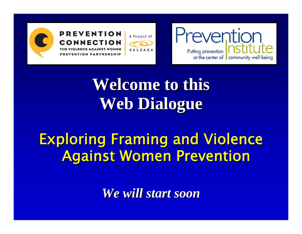





## **Welcome to this Web Dialogue Web Dialogue**

### **Exploring Framing and Violence Against Women Prevention**

*We will start soon We will start soon*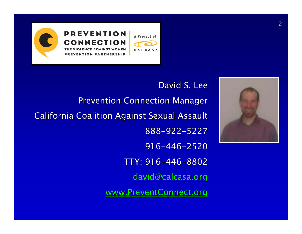



David S. Lee **Prevention Connection Manager California Coalition Against Sexual Assault** 888-922-5227916-446-2520TTY: 916–446–8802 [david@calcasa.org](mailto:david@calcasa.org)

[www.PreventConnect.org](http://www.preventconnect.org/)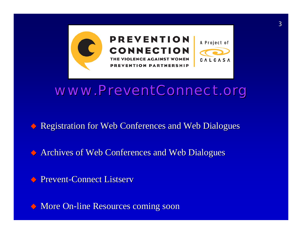

#### *www.PreventConnect.org www.PreventConnect.org*

Registration for Web Conferences and Web Dialogues

◆ Archives of Web Conferences and Web Dialogues

**Prevent-Connect Listserv** 

◆ More On-line Resources coming soon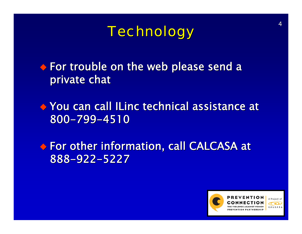*Technology Technology*

 $\bullet$  For trouble on the web please send a private chat

 You can call ILinc technical assistance at You can call ILinc technical assistance at 800-799-4510

 $\bullet$  For other information, call CALCASA at 888 -922 -5227

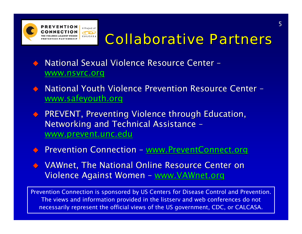

#### *Collaborative Partners Collaborative Partners*

- $\blacklozenge$ ◆ National Sexual Violence Resource Center [www.nsvrc.org](http://www.nsvrc.org/)
- $\bigodot$ ◆ National Youth Violence Prevention Resource Center [www.safeyouth.org](http://www.safeyouth.org/)
- $\Diamond$ PREVENT, Preventing Violence through Education, Networking and Technical Assistance – [www.prevent.unc.edu](http://www.prevent.unc.edu/)
- $\bigodot$ ◆ Prevention Connection <u>- [www.PreventConnect.org](http://www.preventconnect.org/)</u>
- VAWnet, The National Online Resource Center on VAWnet, The National Online Resource Center on Violence Against Women – <u>[www.VAWnet.org](http://www.vawnet.org/)</u>

Prevention Connection is sponsored by US Centers for Disease Control and Prevention. The views and information provided in the listserv and web conferences do not necessarily represent the official views of the US government, CDC, or CALCASA.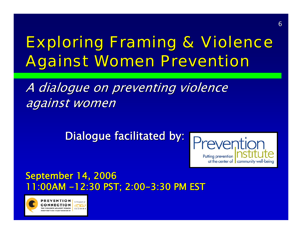## **Exploring Framing & Violence Against Women Prevention**

A dialogue on preventing violence against women

Dialogue facilitated by:



#### **September 14, 2006** 11:00AM -12:30 PST; 2:00-3:30 PM EST

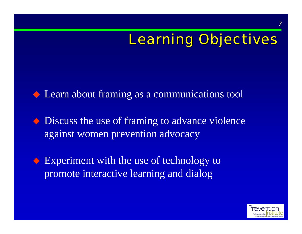## **Learning Objectives**

 $\triangle$  Learn about framing as a communications tool

 $\bullet$  Discuss the use of framing to advance violence against women prevention advocacy

◆ Experiment with the use of technology to promote interactive learning and dialog



7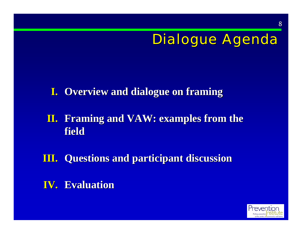#### Dialogue Agenda

#### **I.** Overview and dialogue on framing

#### **II.** Framing and VAW: examples from the **field**

**III.** Questions and participant discussion

**IV.** Evaluation

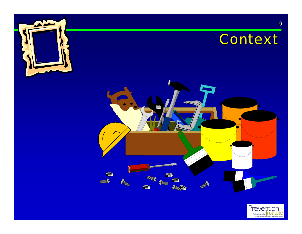





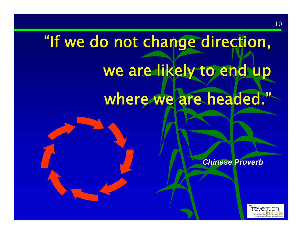## "If we do not change direction, we are likely to end up where we are headed."

*Chinese Proverb ese Proverb*

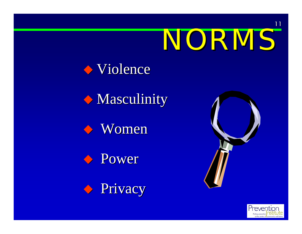# NORMS



#### $\lozenge$  Masculinity











11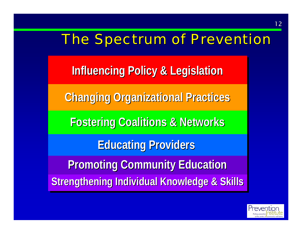#### The Spectrum of Prevention

**Influencing Policy & Legislation Influencing Policy & Legislation**

**Changing Organizational Practices Changing Organizational Practices**

**Fostering Coalitions & Networks Fostering Coalitions & Networks**

**Educating Providers** 

**Promoting Community Education Promoting Community Education Strengthening Individual Knowledge & Skills** 

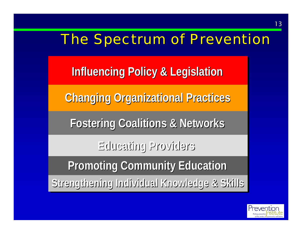#### The Spectrum of Prevention

**Influencing Policy & Legislation Influencing Policy & Legislation**

**Changing Organizational Practices Changing Organizational Practices Changing Organizational Practices Changing Organizational Practices**

**Fostering Coalitions & Networks Fostering Coalitions & Networks**

**Educating Providers Educating Providers**

**Promoting Community Education Promoting Community Education**

**Strengthening Individual Knowledge & Skills Strengthening Individual Knowledge & Skills**

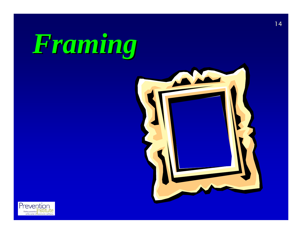



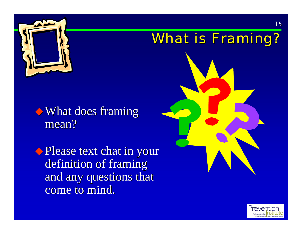

## What is Framing?

#### $\rightarrow$  What does framing mean?

◆ Please text chat in your definition of framing and any questions that come to mind.



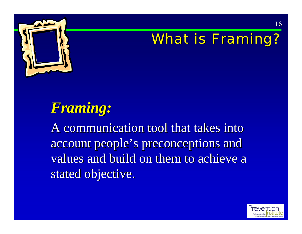

#### What is Framing?

#### *Framing: Framing:*

A communication tool that takes into account people's preconceptions and values and build on them to achieve a stated objective.

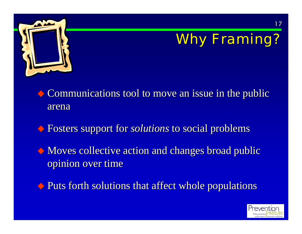

## Why Framing?

 $\bullet$  Communications tool to move an issue in the public arena

 $\Diamond$  Fosters support for *solutions* to social problems

 $\bullet$  Moves collective action and changes broad public opinion over time

 $\blacklozenge$  Puts forth solutions that affect whole populations

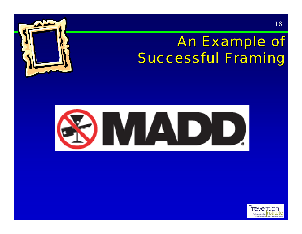### An Example of Successful Framing





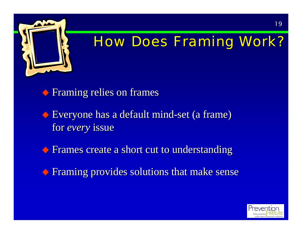

#### **How Does Framing Work?**

 $\blacklozenge$  Framing relies on frames

 $\blacklozenge$  Everyone has a default mind-set (a frame) for *every* issue

 $\blacklozenge$  Frames create a short cut to understanding

 $\blacklozenge$  Framing provides solutions that make sense

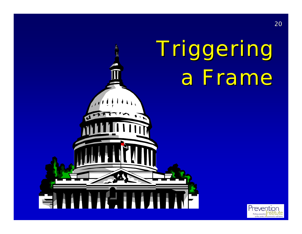## Triggering Triggering a Frame a Frame



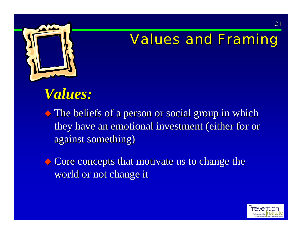

#### **Values and Framing**

#### *Values: Values:*

 $\blacklozenge$  The beliefs of a person or social group in which they have an emotional investment (either for or against something)

 $\bullet$  Core concepts that motivate us to change the world or not change it

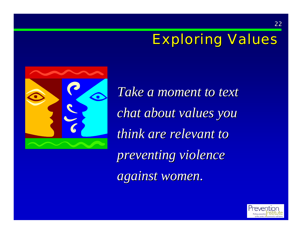### **Exploring Values**



Take a moment to text *chat about values you chat about values you think are relevant to preventing violence preventing violence against women. against women.*

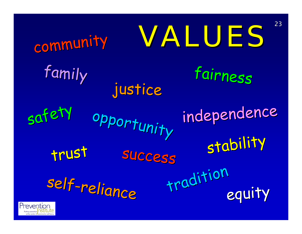| community                   |             | 23<br>VALUES        |
|-----------------------------|-------------|---------------------|
| family                      | justice     | fairness            |
| safety                      | opportunity | independence        |
| trust                       | SUCCESS     | stability           |
| self-reliance<br>Prevention |             | tradition<br>equity |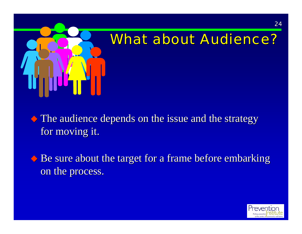

#### What about Audience?

 $\blacklozenge$  The audience depends on the issue and the strategy for moving it.

 $\triangle$  Be sure about the target for a frame before embarking on the process.

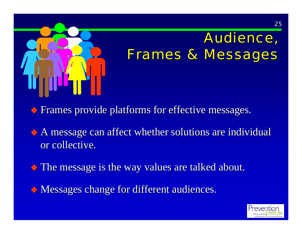

## Audience, Frames & Messages

Frames provide platforms for effective messages. Frames provide platforms for effective messages.

 $\Diamond$  A message can affect whether solutions are individual or collective.

 $\bullet$  The message is the way values are talked about.

Messages change for different audiences. Messages change for different audiences.

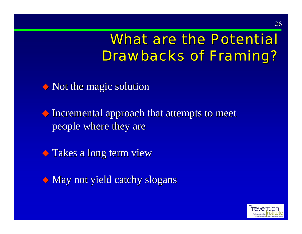#### What are the Potential **Drawbacks of Framing?**

 $\bullet$  Not the magic solution

 $\blacklozenge$  Incremental approach that attempts to meet people where they are

 $\bullet$  Takes a long term view

 $\bullet$  May not yield catchy slogans

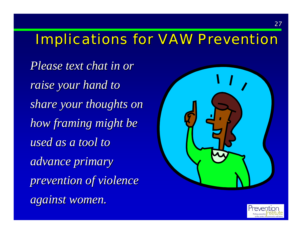#### Implications for VAW Prevention

*Please text chat in or* raise your hand to *share your thoughts on share your thoughts on how framing might be used as a tool to advance primary advance primary prevention of violence prevention of violence against women. against women.*



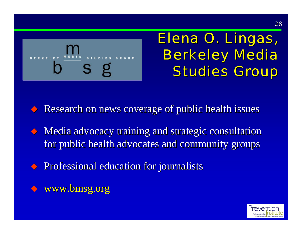

#### Elena O. Lingas, **Berkeley Media Studies Group**

 $\leftrightarrow$  Research on news coverage of public health issues

- $\leftrightarrow$  Media advocacy training and strategic consultation for public health advocates and community groups
- Professional education for journalists Professional education for journalists
- $\blacklozenge$  www.bmsg.org

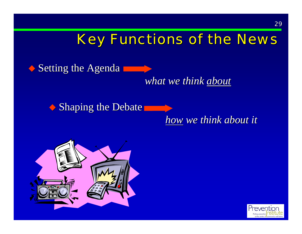#### **Key Functions of the News**

 $\blacklozenge$  Setting the Agenda

*what we think about* 

 $\bullet$  Shaping the Debate

*how we think about it we think about it*



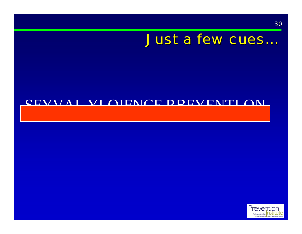#### Just a few cues..

#### SEVVAI VLOIENCE DREVENTI ON

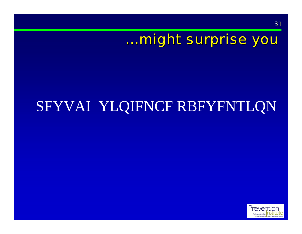#### …might surprise you

## SFYVAI YLQIFNCF RBFYFNTLQN



31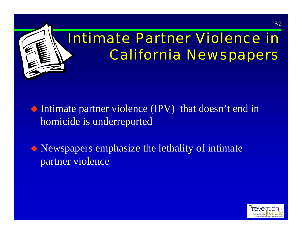

- Intimate partner violence (IPV) that doesn't end in homicide is underreported
- Newspapers emphasize the lethality of intimate partner violence

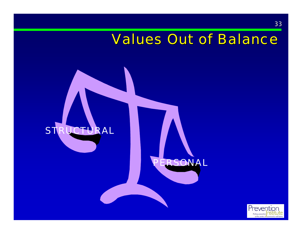#### **Values Out of Balance**



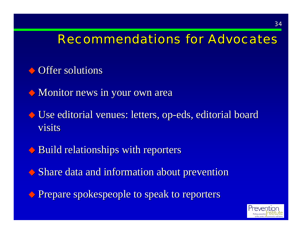#### **Recommendations for Advocates**

- $\leftrightarrow$  Offer solutions
- $\blacklozenge$  Monitor news in your own area
- $\blacklozenge$  Use editorial venues: letters, op-eds, editorial board visits
- $\blacklozenge$  Build relationships with reporters
- $\Diamond$  Share data and information about prevention
- Prepare spokespeople to speak to reporters Prepare spokespeople to speak to reporters

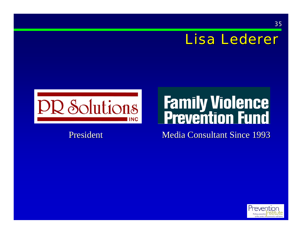#### Lisa Lederer

35



#### President

# **Family Violence**<br>**Prevention Fund**

Media Consultant Since 1993

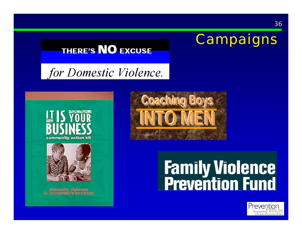

#### **THERE'S NO EXCUSE**

for Domestic Violence.





domostic violence te overvbody's business



# **Family Violence<br>Prevention Fund**

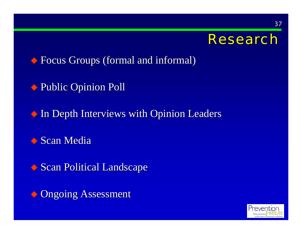

37

 $\blacklozenge$  Focus Groups (formal and informal)

◆ Public Opinion Poll

 $\bullet$  In Depth Interviews with Opinion Leaders

Scan Media

Scan Political Landscape

Ongoing Assessment

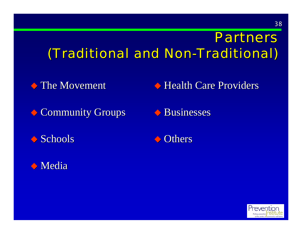#### Partners (Traditional and Non-Traditional)

 $\blacklozenge$  The Movement

 $\blacklozenge$  Health Care Providers

- Community Groups
- $\Diamond$  Schools
- Media Media
- $\blacklozenge$  Businesses
- **◆ Others**

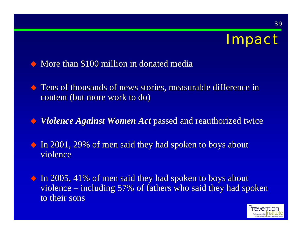## Impact

#### $\leftrightarrow$  More than \$100 million in donated media

- $\Diamond$  Tens of thousands of news stories, measurable difference in content (but more work to do)
- *Violence Against Women Act Violence Against Women Act* passed and reauthorized twice passed and reauthorized twice
- $\triangle$  In 2001, 29% of men said they had spoken to boys about violence
- $\triangle$  In 2005, 41% of men said they had spoken to boys about violence – including  $57\%$  of fathers who said they had spoken to their sons

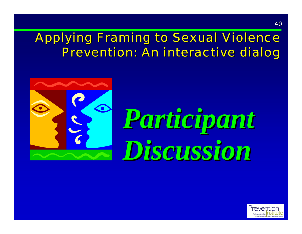#### **Applying Framing to Sexual Violence** Prevention: An interactive dialog



# *Participant Participant Discussion Discussion*

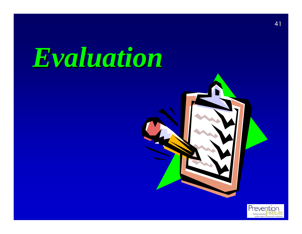